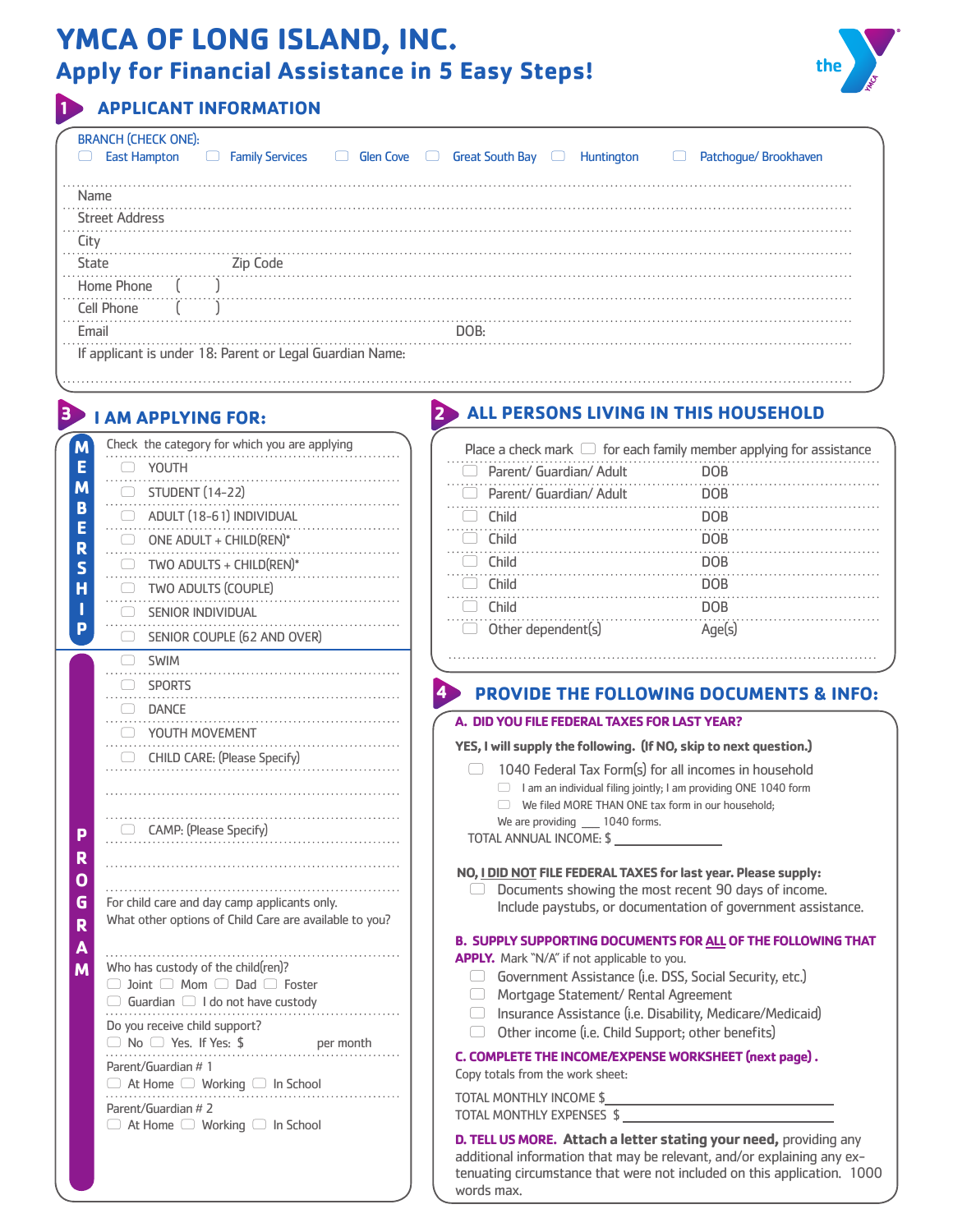# **YMCA OF LONG ISLAND, INC. Apply for Financial Assistance in 5 Easy Steps!**



### **1 APPLICANT INFORMATION**

| <b>BRANCH (CHECK ONE):</b> |                                                          |                                  |                        |                    |                           |
|----------------------------|----------------------------------------------------------|----------------------------------|------------------------|--------------------|---------------------------|
| <b>East Hampton</b>        | <b>Family Services</b>                                   | Glen Cove $\Box$<br>$\mathbf{1}$ | <b>Great South Bay</b> | Huntington<br>الـا | Patchogue/Brookhaven<br>└ |
|                            |                                                          |                                  |                        |                    |                           |
| Name                       |                                                          |                                  |                        |                    |                           |
| <b>Street Address</b>      |                                                          |                                  |                        |                    |                           |
| ( it v                     |                                                          |                                  |                        |                    |                           |
| State                      | Zip Code                                                 |                                  |                        |                    |                           |
| Home Phone                 |                                                          |                                  |                        |                    |                           |
| Cell Phone                 |                                                          |                                  |                        |                    |                           |
| Email                      |                                                          |                                  | DOB·                   |                    |                           |
|                            | If applicant is under 18: Parent or Legal Guardian Name: |                                  |                        |                    |                           |

## **3 I AM APPLYING FOR:**

| M                       | Check the category for which you are applying                                                    |  |
|-------------------------|--------------------------------------------------------------------------------------------------|--|
| E                       | $\Box$ YOUTH                                                                                     |  |
| M                       | STUDENT (14-22)                                                                                  |  |
| B                       | $\Box$ ADULT (18-61) INDIVIDUAL                                                                  |  |
| Ē<br>R                  | .<br>$\Box$ ONE ADULT + CHILD(REN)*                                                              |  |
| Ś                       | TWO ADULTS + CHILD(REN)*<br>$\Box$                                                               |  |
| Ĥ                       | .<br>TWO ADULTS (COUPLE)<br>- 0 -                                                                |  |
| Ī                       | .<br>SENIOR INDIVIDUAL                                                                           |  |
| p                       | SENIOR COUPLE (62 AND OVER)                                                                      |  |
|                         | $\Box$ SWIM                                                                                      |  |
|                         | .<br>.                                                                                           |  |
|                         | SPORTS                                                                                           |  |
|                         | <b>DANCE</b>                                                                                     |  |
|                         | O YOUTH MOVEMENT                                                                                 |  |
|                         | CHILD CARE: (Please Specify)                                                                     |  |
|                         |                                                                                                  |  |
|                         |                                                                                                  |  |
| P                       | CAMP: (Please Specify)                                                                           |  |
| R                       |                                                                                                  |  |
| $\overline{\mathbf{o}}$ |                                                                                                  |  |
| G                       | For child care and day camp applicants only.                                                     |  |
| R                       | What other options of Child Care are available to you?                                           |  |
| A                       | .<br>.                                                                                           |  |
| M                       | Who has custody of the child(ren)?                                                               |  |
|                         | $\Box$ Joint $\Box$ Mom $\Box$ Dad $\Box$ Foster<br>$\Box$ Guardian $\Box$ I do not have custody |  |
|                         | Do you receive child support?                                                                    |  |
|                         | □ No □ Yes. If Yes: \$ per month                                                                 |  |
|                         | Parent/Guardian # 1                                                                              |  |
|                         | $\Box$ At Home $\Box$ Working $\Box$ In School                                                   |  |
|                         | Parent/Guardian # 2                                                                              |  |
|                         | $\Box$ At Home $\Box$ Working $\Box$ In School                                                   |  |
|                         |                                                                                                  |  |
|                         |                                                                                                  |  |

### **2 ALL PERSONS LIVING IN THIS HOUSEHOLD**

| Place a check mark $\Box$ for each family member applying for assistance |        |  |  |  |  |  |
|--------------------------------------------------------------------------|--------|--|--|--|--|--|
| Parent/ Guardian/ Adult<br>$\Box$                                        | DOB    |  |  |  |  |  |
| Parent/ Guardian/ Adult                                                  | DOB    |  |  |  |  |  |
| Child                                                                    | DOB    |  |  |  |  |  |
| Child                                                                    | DOB    |  |  |  |  |  |
| Child                                                                    | DOB    |  |  |  |  |  |
| <b>Child</b>                                                             | DOB    |  |  |  |  |  |
| <b>Child</b>                                                             | DOB    |  |  |  |  |  |
| Other dependent(s)                                                       | Age(s) |  |  |  |  |  |

### **4 PROVIDE THE FOLLOWING DOCUMENTS & INFO:**

#### **A. DID YOU FILE FEDERAL TAXES FOR LAST YEAR?**

#### **YES, I will supply the following. (If NO, skip to next question.)**

 $\Box$  1040 Federal Tax Form(s) for all incomes in household

- $\Box$  I am an individual filing jointly; I am providing ONE 1040 form
	- $\Box$  We filed MORE THAN ONE tax form in our household;

We are providing 1040 forms.

TOTAL ANNUAL INCOME: \$

#### **NO, I DID NOT FILE FEDERAL TAXES for last year. Please supply:**

 $\Box$  Documents showing the most recent 90 days of income. Include paystubs, or documentation of government assistance.

**B. SUPPLY SUPPORTING DOCUMENTS FOR ALL OF THE FOLLOWING THAT** 

**APPLY.** Mark "N/A" if not applicable to you.

- Government Assistance (i.e. DSS, Social Security, etc.)
- 5 Mortgage Statement/ Rental Agreement
- $\Box$  Insurance Assistance (i.e. Disability, Medicare/Medicaid)
- $\Box$  Other income (i.e. Child Support; other benefits)

#### **C. COMPLETE THE INCOME/EXPENSE WORKSHEET (next page) .**

Copy totals from the work sheet:

TOTAL MONTHLY INCOME \$ TOTAL MONTHLY EXPENSES \$

**D. TELL US MORE. Attach a letter stating your need,** providing any additional information that may be relevant, and/or explaining any extenuating circumstance that were not included on this application. 1000 words max.